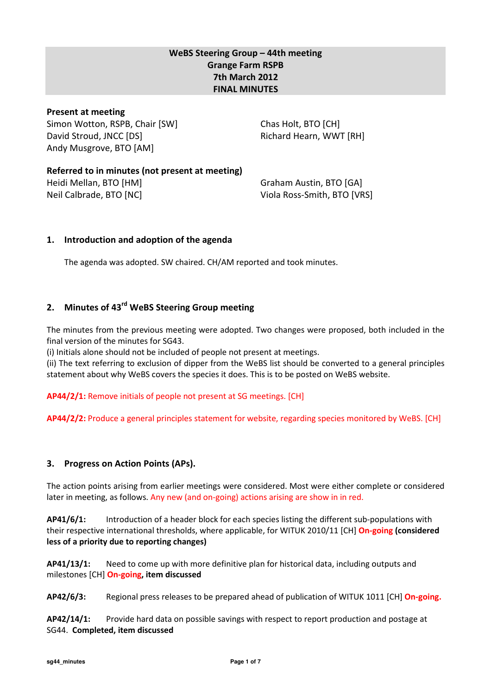## WeBS Steering Group – 44th meeting Grange Farm RSPB 7th March 2012 FINAL MINUTES

### Present at meeting

Simon Wotton, RSPB, Chair [SW] David Stroud, JNCC [DS] Andy Musgrove, BTO [AM]

Chas Holt, BTO [CH] Richard Hearn, WWT [RH]

Referred to in minutes (not present at meeting) Heidi Mellan, BTO [HM] Neil Calbrade, BTO [NC]

Graham Austin, BTO [GA] Viola Ross-Smith, BTO [VRS]

## 1. Introduction and adoption of the agenda

The agenda was adopted. SW chaired. CH/AM reported and took minutes.

## 2. Minutes of 43<sup>rd</sup> WeBS Steering Group meeting

The minutes from the previous meeting were adopted. Two changes were proposed, both included in the final version of the minutes for SG43.

(i) Initials alone should not be included of people not present at meetings.

(ii) The text referring to exclusion of dipper from the WeBS list should be converted to a general principles statement about why WeBS covers the species it does. This is to be posted on WeBS website.

AP44/2/1: Remove initials of people not present at SG meetings. [CH]

AP44/2/2: Produce a general principles statement for website, regarding species monitored by WeBS. [CH]

## 3. Progress on Action Points (APs).

The action points arising from earlier meetings were considered. Most were either complete or considered later in meeting, as follows. Any new (and on-going) actions arising are show in in red.

AP41/6/1: Introduction of a header block for each species listing the different sub-populations with their respective international thresholds, where applicable, for WITUK 2010/11 [CH] On-going (considered less of a priority due to reporting changes)

AP41/13/1: Need to come up with more definitive plan for historical data, including outputs and milestones [CH] On-going, item discussed

AP42/6/3: Regional press releases to be prepared ahead of publication of WITUK 1011 [CH] On-going.

AP42/14/1: Provide hard data on possible savings with respect to report production and postage at SG44. Completed, item discussed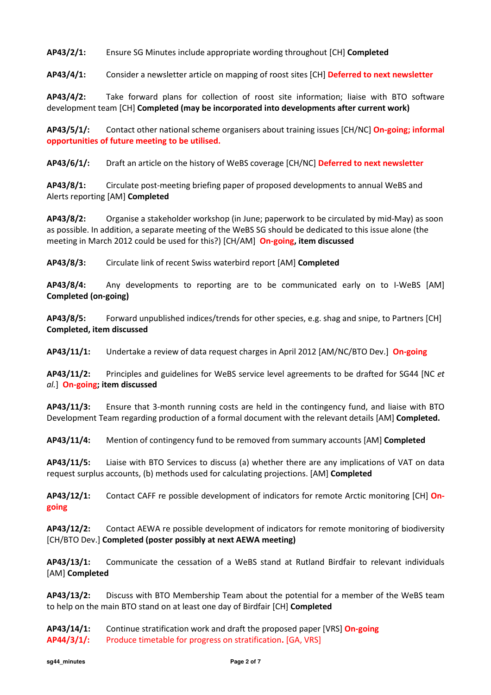AP43/2/1: Ensure SG Minutes include appropriate wording throughout [CH] Completed

AP43/4/1: Consider a newsletter article on mapping of roost sites [CH] Deferred to next newsletter

AP43/4/2: Take forward plans for collection of roost site information; liaise with BTO software development team [CH] Completed (may be incorporated into developments after current work)

AP43/5/1/: Contact other national scheme organisers about training issues [CH/NC] On-going; informal opportunities of future meeting to be utilised.

AP43/6/1/: Draft an article on the history of WeBS coverage [CH/NC] Deferred to next newsletter

AP43/8/1: Circulate post-meeting briefing paper of proposed developments to annual WeBS and Alerts reporting [AM] Completed

AP43/8/2: Organise a stakeholder workshop (in June; paperwork to be circulated by mid-May) as soon as possible. In addition, a separate meeting of the WeBS SG should be dedicated to this issue alone (the meeting in March 2012 could be used for this?) [CH/AM] **On-going, item discussed** 

AP43/8/3: Circulate link of recent Swiss waterbird report [AM] Completed

AP43/8/4: Any developments to reporting are to be communicated early on to I-WeBS [AM] Completed (on-going)

AP43/8/5: Forward unpublished indices/trends for other species, e.g. shag and snipe, to Partners [CH] Completed, item discussed

AP43/11/1: Undertake a review of data request charges in April 2012 [AM/NC/BTO Dev.] On-going

AP43/11/2: Principles and guidelines for WeBS service level agreements to be drafted for SG44 [NC et al.] On-going; item discussed

AP43/11/3: Ensure that 3-month running costs are held in the contingency fund, and liaise with BTO Development Team regarding production of a formal document with the relevant details [AM] Completed.

AP43/11/4: Mention of contingency fund to be removed from summary accounts [AM] Completed

AP43/11/5: Liaise with BTO Services to discuss (a) whether there are any implications of VAT on data request surplus accounts, (b) methods used for calculating projections. [AM] Completed

AP43/12/1: Contact CAFF re possible development of indicators for remote Arctic monitoring [CH] Ongoing

AP43/12/2: Contact AEWA re possible development of indicators for remote monitoring of biodiversity [CH/BTO Dev.] Completed (poster possibly at next AEWA meeting)

AP43/13/1: Communicate the cessation of a WeBS stand at Rutland Birdfair to relevant individuals [AM] Completed

AP43/13/2: Discuss with BTO Membership Team about the potential for a member of the WeBS team to help on the main BTO stand on at least one day of Birdfair [CH] Completed

AP43/14/1: Continue stratification work and draft the proposed paper [VRS] On-going AP44/3/1/: Produce timetable for progress on stratification. [GA, VRS]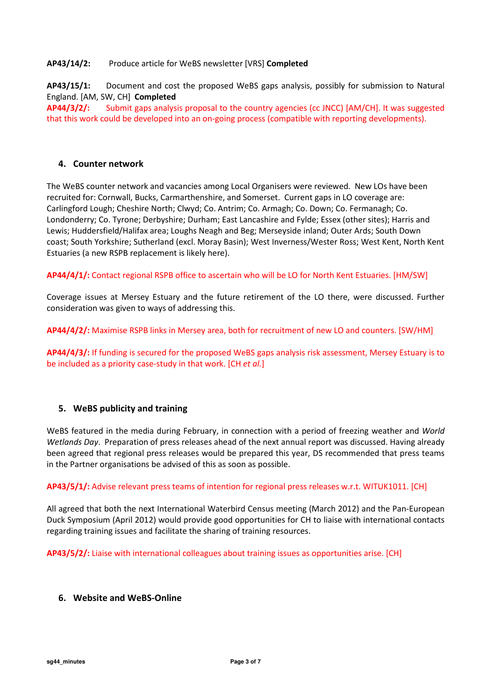#### AP43/14/2: Produce article for WeBS newsletter [VRS] Completed

AP43/15/1: Document and cost the proposed WeBS gaps analysis, possibly for submission to Natural England. [AM, SW, CH] Completed

AP44/3/2/: Submit gaps analysis proposal to the country agencies (cc JNCC) [AM/CH]. It was suggested that this work could be developed into an on-going process (compatible with reporting developments).

#### 4. Counter network

The WeBS counter network and vacancies among Local Organisers were reviewed. New LOs have been recruited for: Cornwall, Bucks, Carmarthenshire, and Somerset. Current gaps in LO coverage are: Carlingford Lough; Cheshire North; Clwyd; Co. Antrim; Co. Armagh; Co. Down; Co. Fermanagh; Co. Londonderry; Co. Tyrone; Derbyshire; Durham; East Lancashire and Fylde; Essex (other sites); Harris and Lewis; Huddersfield/Halifax area; Loughs Neagh and Beg; Merseyside inland; Outer Ards; South Down coast; South Yorkshire; Sutherland (excl. Moray Basin); West Inverness/Wester Ross; West Kent, North Kent Estuaries (a new RSPB replacement is likely here).

AP44/4/1/: Contact regional RSPB office to ascertain who will be LO for North Kent Estuaries. [HM/SW]

Coverage issues at Mersey Estuary and the future retirement of the LO there, were discussed. Further consideration was given to ways of addressing this.

AP44/4/2/: Maximise RSPB links in Mersey area, both for recruitment of new LO and counters. [SW/HM]

AP44/4/3/: If funding is secured for the proposed WeBS gaps analysis risk assessment, Mersey Estuary is to be included as a priority case-study in that work. [CH et al.]

#### 5. WeBS publicity and training

WeBS featured in the media during February, in connection with a period of freezing weather and World Wetlands Day. Preparation of press releases ahead of the next annual report was discussed. Having already been agreed that regional press releases would be prepared this year, DS recommended that press teams in the Partner organisations be advised of this as soon as possible.

AP43/5/1/: Advise relevant press teams of intention for regional press releases w.r.t. WITUK1011. [CH]

All agreed that both the next International Waterbird Census meeting (March 2012) and the Pan-European Duck Symposium (April 2012) would provide good opportunities for CH to liaise with international contacts regarding training issues and facilitate the sharing of training resources.

AP43/5/2/: Liaise with international colleagues about training issues as opportunities arise. [CH]

#### 6. Website and WeBS-Online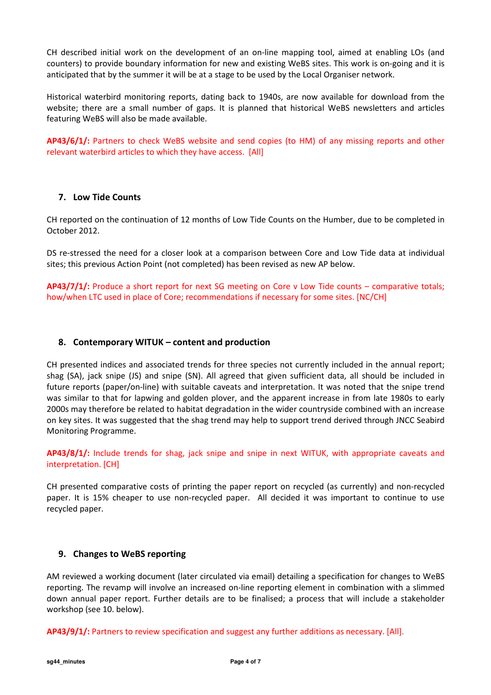CH described initial work on the development of an on-line mapping tool, aimed at enabling LOs (and counters) to provide boundary information for new and existing WeBS sites. This work is on-going and it is anticipated that by the summer it will be at a stage to be used by the Local Organiser network.

Historical waterbird monitoring reports, dating back to 1940s, are now available for download from the website; there are a small number of gaps. It is planned that historical WeBS newsletters and articles featuring WeBS will also be made available.

AP43/6/1/: Partners to check WeBS website and send copies (to HM) of any missing reports and other relevant waterbird articles to which they have access. [All]

### 7. Low Tide Counts

CH reported on the continuation of 12 months of Low Tide Counts on the Humber, due to be completed in October 2012.

DS re-stressed the need for a closer look at a comparison between Core and Low Tide data at individual sites; this previous Action Point (not completed) has been revised as new AP below.

AP43/7/1/: Produce a short report for next SG meeting on Core v Low Tide counts – comparative totals; how/when LTC used in place of Core; recommendations if necessary for some sites. [NC/CH]

#### 8. Contemporary WITUK – content and production

CH presented indices and associated trends for three species not currently included in the annual report; shag (SA), jack snipe (JS) and snipe (SN). All agreed that given sufficient data, all should be included in future reports (paper/on-line) with suitable caveats and interpretation. It was noted that the snipe trend was similar to that for lapwing and golden plover, and the apparent increase in from late 1980s to early 2000s may therefore be related to habitat degradation in the wider countryside combined with an increase on key sites. It was suggested that the shag trend may help to support trend derived through JNCC Seabird Monitoring Programme.

AP43/8/1/: Include trends for shag, jack snipe and snipe in next WITUK, with appropriate caveats and interpretation. [CH]

CH presented comparative costs of printing the paper report on recycled (as currently) and non-recycled paper. It is 15% cheaper to use non-recycled paper. All decided it was important to continue to use recycled paper.

#### 9. Changes to WeBS reporting

AM reviewed a working document (later circulated via email) detailing a specification for changes to WeBS reporting. The revamp will involve an increased on-line reporting element in combination with a slimmed down annual paper report. Further details are to be finalised; a process that will include a stakeholder workshop (see 10. below).

AP43/9/1/: Partners to review specification and suggest any further additions as necessary. [All].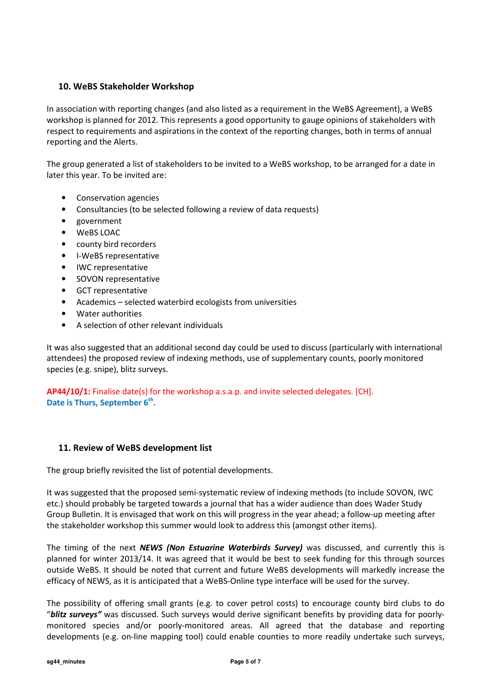### 10. WeBS Stakeholder Workshop

In association with reporting changes (and also listed as a requirement in the WeBS Agreement), a WeBS workshop is planned for 2012. This represents a good opportunity to gauge opinions of stakeholders with respect to requirements and aspirations in the context of the reporting changes, both in terms of annual reporting and the Alerts.

The group generated a list of stakeholders to be invited to a WeBS workshop, to be arranged for a date in later this year. To be invited are:

- Conservation agencies
- Consultancies (to be selected following a review of data requests)
- government
- WeBS LOAC
- county bird recorders
- I-WeBS representative
- IWC representative
- SOVON representative
- GCT representative
- Academics selected waterbird ecologists from universities
- Water authorities
- A selection of other relevant individuals

It was also suggested that an additional second day could be used to discuss (particularly with international attendees) the proposed review of indexing methods, use of supplementary counts, poorly monitored species (e.g. snipe), blitz surveys.

AP44/10/1: Finalise date(s) for the workshop a.s.a.p. and invite selected delegates. [CH]. Date is Thurs, September 6<sup>th</sup>.

#### 11. Review of WeBS development list

The group briefly revisited the list of potential developments.

It was suggested that the proposed semi-systematic review of indexing methods (to include SOVON, IWC etc.) should probably be targeted towards a journal that has a wider audience than does Wader Study Group Bulletin. It is envisaged that work on this will progress in the year ahead; a follow-up meeting after the stakeholder workshop this summer would look to address this (amongst other items).

The timing of the next **NEWS (Non Estuarine Waterbirds Survey)** was discussed, and currently this is planned for winter 2013/14. It was agreed that it would be best to seek funding for this through sources outside WeBS. It should be noted that current and future WeBS developments will markedly increase the efficacy of NEWS, as it is anticipated that a WeBS-Online type interface will be used for the survey.

The possibility of offering small grants (e.g. to cover petrol costs) to encourage county bird clubs to do "blitz surveys" was discussed. Such surveys would derive significant benefits by providing data for poorlymonitored species and/or poorly-monitored areas. All agreed that the database and reporting developments (e.g. on-line mapping tool) could enable counties to more readily undertake such surveys,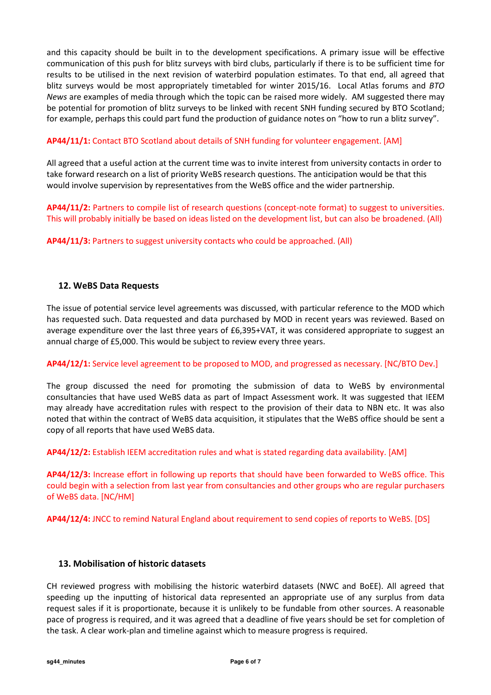and this capacity should be built in to the development specifications. A primary issue will be effective communication of this push for blitz surveys with bird clubs, particularly if there is to be sufficient time for results to be utilised in the next revision of waterbird population estimates. To that end, all agreed that blitz surveys would be most appropriately timetabled for winter 2015/16. Local Atlas forums and BTO News are examples of media through which the topic can be raised more widely. AM suggested there may be potential for promotion of blitz surveys to be linked with recent SNH funding secured by BTO Scotland; for example, perhaps this could part fund the production of guidance notes on "how to run a blitz survey".

### AP44/11/1: Contact BTO Scotland about details of SNH funding for volunteer engagement. [AM]

All agreed that a useful action at the current time was to invite interest from university contacts in order to take forward research on a list of priority WeBS research questions. The anticipation would be that this would involve supervision by representatives from the WeBS office and the wider partnership.

AP44/11/2: Partners to compile list of research questions (concept-note format) to suggest to universities. This will probably initially be based on ideas listed on the development list, but can also be broadened. (All)

AP44/11/3: Partners to suggest university contacts who could be approached. (All)

#### 12. WeBS Data Requests

The issue of potential service level agreements was discussed, with particular reference to the MOD which has requested such. Data requested and data purchased by MOD in recent years was reviewed. Based on average expenditure over the last three years of £6,395+VAT, it was considered appropriate to suggest an annual charge of £5,000. This would be subject to review every three years.

#### AP44/12/1: Service level agreement to be proposed to MOD, and progressed as necessary. [NC/BTO Dev.]

The group discussed the need for promoting the submission of data to WeBS by environmental consultancies that have used WeBS data as part of Impact Assessment work. It was suggested that IEEM may already have accreditation rules with respect to the provision of their data to NBN etc. It was also noted that within the contract of WeBS data acquisition, it stipulates that the WeBS office should be sent a copy of all reports that have used WeBS data.

AP44/12/2: Establish IEEM accreditation rules and what is stated regarding data availability. [AM]

AP44/12/3: Increase effort in following up reports that should have been forwarded to WeBS office. This could begin with a selection from last year from consultancies and other groups who are regular purchasers of WeBS data. [NC/HM]

AP44/12/4: JNCC to remind Natural England about requirement to send copies of reports to WeBS. [DS]

#### 13. Mobilisation of historic datasets

CH reviewed progress with mobilising the historic waterbird datasets (NWC and BoEE). All agreed that speeding up the inputting of historical data represented an appropriate use of any surplus from data request sales if it is proportionate, because it is unlikely to be fundable from other sources. A reasonable pace of progress is required, and it was agreed that a deadline of five years should be set for completion of the task. A clear work-plan and timeline against which to measure progress is required.